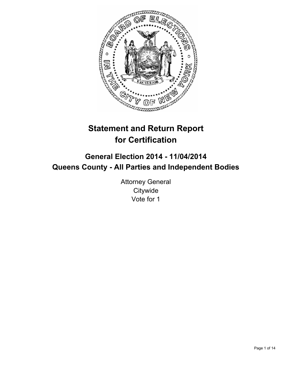

# **Statement and Return Report for Certification**

# **General Election 2014 - 11/04/2014 Queens County - All Parties and Independent Bodies**

Attorney General **Citywide** Vote for 1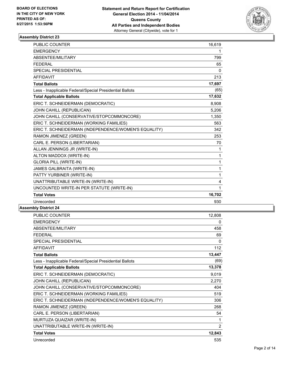

| PUBLIC COUNTER                                           | 16,619 |
|----------------------------------------------------------|--------|
| <b>EMERGENCY</b>                                         | 1      |
| ABSENTEE/MILITARY                                        | 799    |
| <b>FEDERAL</b>                                           | 65     |
| <b>SPECIAL PRESIDENTIAL</b>                              | 0      |
| <b>AFFIDAVIT</b>                                         | 213    |
| <b>Total Ballots</b>                                     | 17,697 |
| Less - Inapplicable Federal/Special Presidential Ballots | (65)   |
| <b>Total Applicable Ballots</b>                          | 17,632 |
| ERIC T. SCHNEIDERMAN (DEMOCRATIC)                        | 8,908  |
| JOHN CAHILL (REPUBLICAN)                                 | 5,206  |
| JOHN CAHILL (CONSERVATIVE/STOPCOMMONCORE)                | 1,350  |
| ERIC T. SCHNEIDERMAN (WORKING FAMILIES)                  | 563    |
| ERIC T. SCHNEIDERMAN (INDEPENDENCE/WOMEN'S EQUALITY)     | 342    |
| RAMON JIMENEZ (GREEN)                                    | 253    |
| CARL E. PERSON (LIBERTARIAN)                             | 70     |
| ALLAN JENNINGS JR (WRITE-IN)                             | 1      |
| ALTON MADDOX (WRITE-IN)                                  | 1      |
| <b>GLORIA PILL (WRITE-IN)</b>                            | 1      |
| JAMES GALBRAITA (WRITE-IN)                               | 1      |
| PATTY YURBINER (WRITE-IN)                                | 1      |
| UNATTRIBUTABLE WRITE-IN (WRITE-IN)                       | 4      |
| UNCOUNTED WRITE-IN PER STATUTE (WRITE-IN)                | 1      |
| <b>Total Votes</b>                                       | 16,702 |
| Unrecorded                                               | 930    |
|                                                          |        |

| <b>PUBLIC COUNTER</b>                                    | 12,808 |
|----------------------------------------------------------|--------|
| <b>EMERGENCY</b>                                         | 0      |
| ABSENTEE/MILITARY                                        | 458    |
| <b>FEDERAL</b>                                           | 69     |
| <b>SPECIAL PRESIDENTIAL</b>                              | 0      |
| <b>AFFIDAVIT</b>                                         | 112    |
| <b>Total Ballots</b>                                     | 13,447 |
| Less - Inapplicable Federal/Special Presidential Ballots | (69)   |
| <b>Total Applicable Ballots</b>                          | 13,378 |
| ERIC T. SCHNEIDERMAN (DEMOCRATIC)                        | 9,019  |
| JOHN CAHILL (REPUBLICAN)                                 | 2,270  |
| JOHN CAHILL (CONSERVATIVE/STOPCOMMONCORE)                | 404    |
| ERIC T. SCHNEIDERMAN (WORKING FAMILIES)                  | 519    |
| ERIC T. SCHNEIDERMAN (INDEPENDENCE/WOMEN'S EQUALITY)     | 306    |
| RAMON JIMENEZ (GREEN)                                    | 268    |
| CARL E. PERSON (LIBERTARIAN)                             | 54     |
| MURTUZA QUAIZAR (WRITE-IN)                               | 1      |
| UNATTRIBUTABLE WRITE-IN (WRITE-IN)                       | 2      |
| <b>Total Votes</b>                                       | 12,843 |
| Unrecorded                                               | 535    |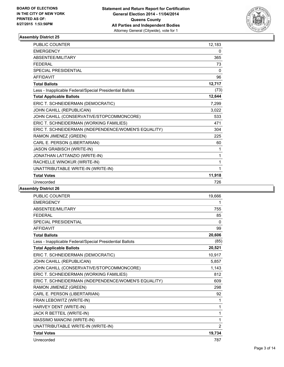

| <b>PUBLIC COUNTER</b>                                    | 12,183 |
|----------------------------------------------------------|--------|
| <b>EMERGENCY</b>                                         | 0      |
| <b>ABSENTEE/MILITARY</b>                                 | 365    |
| <b>FEDERAL</b>                                           | 73     |
| <b>SPECIAL PRESIDENTIAL</b>                              | 0      |
| <b>AFFIDAVIT</b>                                         | 96     |
| <b>Total Ballots</b>                                     | 12,717 |
| Less - Inapplicable Federal/Special Presidential Ballots | (73)   |
| <b>Total Applicable Ballots</b>                          | 12,644 |
| ERIC T. SCHNEIDERMAN (DEMOCRATIC)                        | 7,299  |
| JOHN CAHILL (REPUBLICAN)                                 | 3,022  |
| JOHN CAHILL (CONSERVATIVE/STOPCOMMONCORE)                | 533    |
| ERIC T. SCHNEIDERMAN (WORKING FAMILIES)                  | 471    |
| ERIC T. SCHNEIDERMAN (INDEPENDENCE/WOMEN'S EQUALITY)     | 304    |
| RAMON JIMENEZ (GREEN)                                    | 225    |
| CARL E. PERSON (LIBERTARIAN)                             | 60     |
| JASON GRABISCH (WRITE-IN)                                | 1      |
| JONATHAN LATTANZIO (WRITE-IN)                            | 1      |
| RACHELLE WINOKUR (WRITE-IN)                              | 1      |
| UNATTRIBUTABLE WRITE-IN (WRITE-IN)                       | 1      |
| <b>Total Votes</b>                                       | 11,918 |
| Unrecorded                                               | 726    |

| <b>PUBLIC COUNTER</b>                                    | 19,666 |
|----------------------------------------------------------|--------|
| <b>EMERGENCY</b>                                         | 1      |
| ABSENTEE/MILITARY                                        | 755    |
| <b>FEDERAL</b>                                           | 85     |
| SPECIAL PRESIDENTIAL                                     | 0      |
| <b>AFFIDAVIT</b>                                         | 99     |
| <b>Total Ballots</b>                                     | 20,606 |
| Less - Inapplicable Federal/Special Presidential Ballots | (85)   |
| <b>Total Applicable Ballots</b>                          | 20,521 |
| ERIC T. SCHNEIDERMAN (DEMOCRATIC)                        | 10,917 |
| JOHN CAHILL (REPUBLICAN)                                 | 5,857  |
| JOHN CAHILL (CONSERVATIVE/STOPCOMMONCORE)                | 1,143  |
| ERIC T. SCHNEIDERMAN (WORKING FAMILIES)                  | 812    |
| ERIC T. SCHNEIDERMAN (INDEPENDENCE/WOMEN'S EQUALITY)     | 609    |
| RAMON JIMENEZ (GREEN)                                    | 298    |
| CARL E. PERSON (LIBERTARIAN)                             | 92     |
| FRAN LEBOWITZ (WRITE-IN)                                 | 1      |
| HARVEY DENT (WRITE-IN)                                   | 1      |
| JACK R BETTEIL (WRITE-IN)                                | 1      |
| MASSIMO MANCINI (WRITE-IN)                               | 1      |
| UNATTRIBUTABLE WRITE-IN (WRITE-IN)                       | 2      |
| <b>Total Votes</b>                                       | 19,734 |
| Unrecorded                                               | 787    |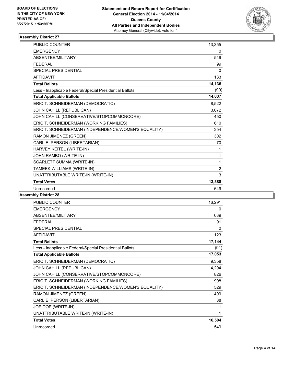

| <b>PUBLIC COUNTER</b>                                    | 13,355         |
|----------------------------------------------------------|----------------|
| <b>EMERGENCY</b>                                         | 0              |
| ABSENTEE/MILITARY                                        | 549            |
| <b>FFDFRAI</b>                                           | 99             |
| <b>SPECIAL PRESIDENTIAL</b>                              | 0              |
| <b>AFFIDAVIT</b>                                         | 133            |
| <b>Total Ballots</b>                                     | 14,136         |
| Less - Inapplicable Federal/Special Presidential Ballots | (99)           |
| <b>Total Applicable Ballots</b>                          | 14,037         |
| ERIC T. SCHNEIDERMAN (DEMOCRATIC)                        | 8,522          |
| JOHN CAHILL (REPUBLICAN)                                 | 3,072          |
| JOHN CAHILL (CONSERVATIVE/STOPCOMMONCORE)                | 450            |
| ERIC T. SCHNEIDERMAN (WORKING FAMILIES)                  | 610            |
| ERIC T. SCHNEIDERMAN (INDEPENDENCE/WOMEN'S EQUALITY)     | 354            |
| RAMON JIMENEZ (GREEN)                                    | 302            |
| CARL E. PERSON (LIBERTARIAN)                             | 70             |
| HARVEY KEITEL (WRITE-IN)                                 | 1              |
| JOHN RAMBO (WRITE-IN)                                    | 1              |
| SCARLETT SUMMA (WRITE-IN)                                | 1              |
| TAMEEK WILLIAMS (WRITE-IN)                               | $\overline{2}$ |
| UNATTRIBUTABLE WRITE-IN (WRITE-IN)                       | 3              |
| <b>Total Votes</b>                                       | 13,388         |
| Unrecorded                                               | 649            |

| <b>PUBLIC COUNTER</b>                                    | 16,291 |
|----------------------------------------------------------|--------|
| <b>EMERGENCY</b>                                         | 0      |
| ABSENTEE/MILITARY                                        | 639    |
| <b>FFDFRAL</b>                                           | 91     |
| SPECIAL PRESIDENTIAL                                     | 0      |
| <b>AFFIDAVIT</b>                                         | 123    |
| <b>Total Ballots</b>                                     | 17,144 |
| Less - Inapplicable Federal/Special Presidential Ballots | (91)   |
| <b>Total Applicable Ballots</b>                          | 17,053 |
| ERIC T. SCHNEIDERMAN (DEMOCRATIC)                        | 9,358  |
| JOHN CAHILL (REPUBLICAN)                                 | 4,294  |
| JOHN CAHILL (CONSERVATIVE/STOPCOMMONCORE)                | 826    |
| ERIC T. SCHNEIDERMAN (WORKING FAMILIES)                  | 998    |
| ERIC T. SCHNEIDERMAN (INDEPENDENCE/WOMEN'S EQUALITY)     | 529    |
| RAMON JIMENEZ (GREEN)                                    | 409    |
| CARL E. PERSON (LIBERTARIAN)                             | 88     |
| JOE DOE (WRITE-IN)                                       | 1      |
| UNATTRIBUTABLE WRITE-IN (WRITE-IN)                       | 1      |
| <b>Total Votes</b>                                       | 16,504 |
| Unrecorded                                               | 549    |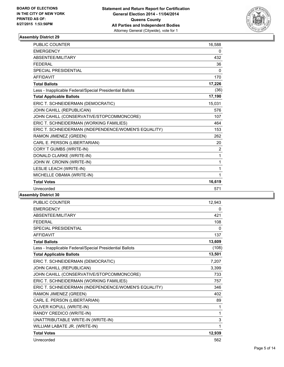

| <b>PUBLIC COUNTER</b>                                    | 16,588 |
|----------------------------------------------------------|--------|
| <b>EMERGENCY</b>                                         | 0      |
| ABSENTEE/MILITARY                                        | 432    |
| <b>FEDERAL</b>                                           | 36     |
| <b>SPECIAL PRESIDENTIAL</b>                              | 0      |
| <b>AFFIDAVIT</b>                                         | 170    |
| <b>Total Ballots</b>                                     | 17,226 |
| Less - Inapplicable Federal/Special Presidential Ballots | (36)   |
| <b>Total Applicable Ballots</b>                          | 17,190 |
| ERIC T. SCHNEIDERMAN (DEMOCRATIC)                        | 15,031 |
| JOHN CAHILL (REPUBLICAN)                                 | 576    |
| JOHN CAHILL (CONSERVATIVE/STOPCOMMONCORE)                | 107    |
| ERIC T. SCHNEIDERMAN (WORKING FAMILIES)                  | 464    |
| ERIC T. SCHNEIDERMAN (INDEPENDENCE/WOMEN'S EQUALITY)     | 153    |
| RAMON JIMENEZ (GREEN)                                    | 262    |
| CARL E. PERSON (LIBERTARIAN)                             | 20     |
| CORY T GUMBS (WRITE-IN)                                  | 2      |
| DONALD CLARKE (WRITE-IN)                                 | 1      |
| JOHN W. CRONIN (WRITE-IN)                                | 1      |
| LESLIE LEACH (WRITE-IN)                                  | 1      |
| MICHELLE OBAMA (WRITE-IN)                                | 1      |
| <b>Total Votes</b>                                       | 16,619 |
| Unrecorded                                               | 571    |

| <b>PUBLIC COUNTER</b>                                    | 12,943 |
|----------------------------------------------------------|--------|
| <b>EMERGENCY</b>                                         | 0      |
| ABSENTEE/MILITARY                                        | 421    |
| <b>FEDERAL</b>                                           | 108    |
| <b>SPECIAL PRESIDENTIAL</b>                              | 0      |
| <b>AFFIDAVIT</b>                                         | 137    |
| <b>Total Ballots</b>                                     | 13,609 |
| Less - Inapplicable Federal/Special Presidential Ballots | (108)  |
| <b>Total Applicable Ballots</b>                          | 13,501 |
| ERIC T. SCHNEIDERMAN (DEMOCRATIC)                        | 7,207  |
| JOHN CAHILL (REPUBLICAN)                                 | 3,399  |
| JOHN CAHILL (CONSERVATIVE/STOPCOMMONCORE)                | 733    |
| ERIC T. SCHNEIDERMAN (WORKING FAMILIES)                  | 757    |
| ERIC T. SCHNEIDERMAN (INDEPENDENCE/WOMEN'S EQUALITY)     | 346    |
| RAMON JIMENEZ (GREEN)                                    | 402    |
| CARL E. PERSON (LIBERTARIAN)                             | 89     |
| OLIVER KOPULL (WRITE-IN)                                 | 1      |
| RANDY CREDICO (WRITE-IN)                                 | 1      |
| UNATTRIBUTABLE WRITE-IN (WRITE-IN)                       | 3      |
| WILLIAM LABATE JR. (WRITE-IN)                            | 1      |
| <b>Total Votes</b>                                       | 12,939 |
| Unrecorded                                               | 562    |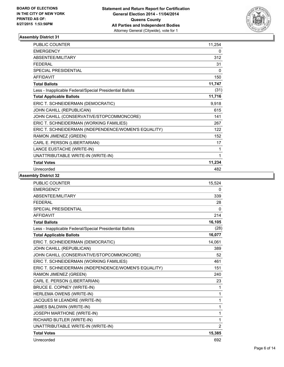

| PUBLIC COUNTER                                           | 11,254 |
|----------------------------------------------------------|--------|
| <b>EMERGENCY</b>                                         | 0      |
| ABSENTEE/MILITARY                                        | 312    |
| <b>FFDFRAL</b>                                           | 31     |
| SPECIAL PRESIDENTIAL                                     | 0      |
| <b>AFFIDAVIT</b>                                         | 150    |
| <b>Total Ballots</b>                                     | 11,747 |
| Less - Inapplicable Federal/Special Presidential Ballots | (31)   |
| <b>Total Applicable Ballots</b>                          | 11,716 |
| ERIC T. SCHNEIDERMAN (DEMOCRATIC)                        | 9,918  |
| JOHN CAHILL (REPUBLICAN)                                 | 615    |
| JOHN CAHILL (CONSERVATIVE/STOPCOMMONCORE)                | 141    |
| ERIC T. SCHNEIDERMAN (WORKING FAMILIES)                  | 267    |
| ERIC T. SCHNEIDERMAN (INDEPENDENCE/WOMEN'S EQUALITY)     | 122    |
| RAMON JIMENEZ (GREEN)                                    | 152    |
| CARL E. PERSON (LIBERTARIAN)                             | 17     |
| LANCE EUSTACHE (WRITE-IN)                                | 1      |
| UNATTRIBUTABLE WRITE-IN (WRITE-IN)                       | 1      |
| <b>Total Votes</b>                                       | 11,234 |
| Unrecorded                                               | 482    |

| <b>PUBLIC COUNTER</b>                                    | 15,524         |
|----------------------------------------------------------|----------------|
| <b>EMERGENCY</b>                                         | 0              |
| ABSENTEE/MILITARY                                        | 339            |
| <b>FEDERAL</b>                                           | 28             |
| <b>SPECIAL PRESIDENTIAL</b>                              | 0              |
| <b>AFFIDAVIT</b>                                         | 214            |
| <b>Total Ballots</b>                                     | 16,105         |
| Less - Inapplicable Federal/Special Presidential Ballots | (28)           |
| <b>Total Applicable Ballots</b>                          | 16,077         |
| ERIC T. SCHNEIDERMAN (DEMOCRATIC)                        | 14,061         |
| JOHN CAHILL (REPUBLICAN)                                 | 389            |
| JOHN CAHILL (CONSERVATIVE/STOPCOMMONCORE)                | 52             |
| ERIC T. SCHNEIDERMAN (WORKING FAMILIES)                  | 461            |
| ERIC T. SCHNEIDERMAN (INDEPENDENCE/WOMEN'S EQUALITY)     | 151            |
| RAMON JIMENEZ (GREEN)                                    | 240            |
| CARL E. PERSON (LIBERTARIAN)                             | 23             |
| BRUCE E. COPNEY (WRITE-IN)                               | 1              |
| HERLEMA OWENS (WRITE-IN)                                 | 1              |
| JACQUES M LEANDRE (WRITE-IN)                             | 1              |
| JAMES BALDWIN (WRITE-IN)                                 | 1              |
| <b>JOSEPH MARTHONE (WRITE-IN)</b>                        | 1              |
| RICHARD BUTLER (WRITE-IN)                                | 1              |
| UNATTRIBUTABLE WRITE-IN (WRITE-IN)                       | $\overline{2}$ |
| <b>Total Votes</b>                                       | 15,385         |
| Unrecorded                                               | 692            |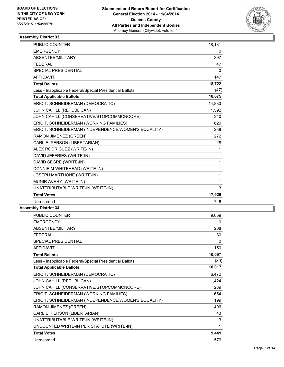

| PUBLIC COUNTER                                           | 18,131   |
|----------------------------------------------------------|----------|
| <b>EMERGENCY</b>                                         | 0        |
| ABSENTEE/MILITARY                                        | 397      |
| <b>FEDERAL</b>                                           | 47       |
| <b>SPECIAL PRESIDENTIAL</b>                              | $\Omega$ |
| <b>AFFIDAVIT</b>                                         | 147      |
| <b>Total Ballots</b>                                     | 18,722   |
| Less - Inapplicable Federal/Special Presidential Ballots | (47)     |
| <b>Total Applicable Ballots</b>                          | 18,675   |
| ERIC T. SCHNEIDERMAN (DEMOCRATIC)                        | 14,830   |
| JOHN CAHILL (REPUBLICAN)                                 | 1,592    |
| JOHN CAHILL (CONSERVATIVE/STOPCOMMONCORE)                | 340      |
| ERIC T. SCHNEIDERMAN (WORKING FAMILIES)                  | 620      |
| ERIC T. SCHNEIDERMAN (INDEPENDENCE/WOMEN'S EQUALITY)     | 238      |
| RAMON JIMENEZ (GREEN)                                    | 272      |
| CARL E. PERSON (LIBERTARIAN)                             | 28       |
| ALEX RODRIGUEZ (WRITE-IN)                                | 1        |
| DAVID JEFFRIES (WRITE-IN)                                | 1        |
| DAVID SEGRE (WRITE-IN)                                   | 1        |
| DONNIE M WHITEHEAD (WRITE-IN)                            | 1        |
| JOSEPH MARTHONE (WRITE-IN)                               | 1        |
| MUNIR AVERY (WRITE-IN)                                   | 1        |
| UNATTRIBUTABLE WRITE-IN (WRITE-IN)                       | 3        |
| <b>Total Votes</b>                                       | 17,929   |
| Unrecorded                                               | 746      |
|                                                          |          |

| <b>PUBLIC COUNTER</b>                                    | 9,659  |
|----------------------------------------------------------|--------|
| <b>EMERGENCY</b>                                         | 0      |
| ABSENTEE/MILITARY                                        | 208    |
| <b>FEDERAL</b>                                           | 80     |
| <b>SPECIAL PRESIDENTIAL</b>                              | 0      |
| <b>AFFIDAVIT</b>                                         | 150    |
| <b>Total Ballots</b>                                     | 10,097 |
| Less - Inapplicable Federal/Special Presidential Ballots | (80)   |
| <b>Total Applicable Ballots</b>                          | 10,017 |
| ERIC T. SCHNEIDERMAN (DEMOCRATIC)                        | 6,472  |
| JOHN CAHILL (REPUBLICAN)                                 | 1,424  |
| JOHN CAHILL (CONSERVATIVE/STOPCOMMONCORE)                | 239    |
| ERIC T. SCHNEIDERMAN (WORKING FAMILIES)                  | 654    |
| ERIC T. SCHNEIDERMAN (INDEPENDENCE/WOMEN'S EQUALITY)     | 199    |
| RAMON JIMENEZ (GREEN)                                    | 406    |
| CARL E. PERSON (LIBERTARIAN)                             | 43     |
| UNATTRIBUTABLE WRITE-IN (WRITE-IN)                       | 3      |
| UNCOUNTED WRITE-IN PER STATUTE (WRITE-IN)                | 1      |
| <b>Total Votes</b>                                       | 9,441  |
| Unrecorded                                               | 576    |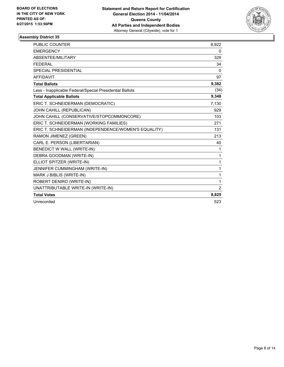

| <b>PUBLIC COUNTER</b>                                    | 8,922    |
|----------------------------------------------------------|----------|
| <b>EMERGENCY</b>                                         | 0        |
| <b>ABSENTEE/MILITARY</b>                                 | 329      |
| <b>FEDERAL</b>                                           | 34       |
| <b>SPECIAL PRESIDENTIAL</b>                              | $\Omega$ |
| <b>AFFIDAVIT</b>                                         | 97       |
| <b>Total Ballots</b>                                     | 9,382    |
| Less - Inapplicable Federal/Special Presidential Ballots | (34)     |
| <b>Total Applicable Ballots</b>                          | 9,348    |
| ERIC T. SCHNEIDERMAN (DEMOCRATIC)                        | 7,130    |
| JOHN CAHILL (REPUBLICAN)                                 | 929      |
| JOHN CAHILL (CONSERVATIVE/STOPCOMMONCORE)                | 103      |
| ERIC T. SCHNEIDERMAN (WORKING FAMILIES)                  | 271      |
| ERIC T. SCHNEIDERMAN (INDEPENDENCE/WOMEN'S EQUALITY)     | 131      |
| RAMON JIMENEZ (GREEN)                                    | 213      |
| CARL E. PERSON (LIBERTARIAN)                             | 40       |
| BENEDICT W WALL (WRITE-IN)                               | 1        |
| DEBRA GOODMAN (WRITE-IN)                                 | 1        |
| ELLIOT SPITZER (WRITE-IN)                                | 1        |
| JENNIFER CUMMINGHAM (WRITE-IN)                           | 1        |
| MARK J BIBLIS (WRITE-IN)                                 | 1        |
| ROBERT DENIRO (WRITE-IN)                                 | 1        |
| UNATTRIBUTABLE WRITE-IN (WRITE-IN)                       | 2        |
| <b>Total Votes</b>                                       | 8,825    |
| Unrecorded                                               | 523      |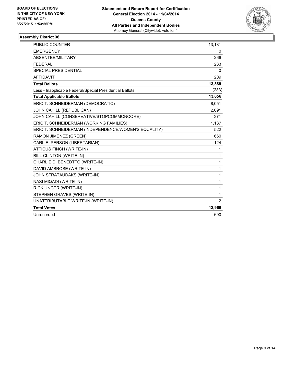

| <b>PUBLIC COUNTER</b>                                    | 13,181         |
|----------------------------------------------------------|----------------|
| <b>EMERGENCY</b>                                         | 0              |
| ABSENTEE/MILITARY                                        | 266            |
| <b>FEDERAL</b>                                           | 233            |
| <b>SPECIAL PRESIDENTIAL</b>                              | $\mathbf{0}$   |
| <b>AFFIDAVIT</b>                                         | 209            |
| <b>Total Ballots</b>                                     | 13,889         |
| Less - Inapplicable Federal/Special Presidential Ballots | (233)          |
| <b>Total Applicable Ballots</b>                          | 13,656         |
| ERIC T. SCHNEIDERMAN (DEMOCRATIC)                        | 8,051          |
| JOHN CAHILL (REPUBLICAN)                                 | 2.091          |
| JOHN CAHILL (CONSERVATIVE/STOPCOMMONCORE)                | 371            |
| ERIC T. SCHNEIDERMAN (WORKING FAMILIES)                  | 1,137          |
| ERIC T. SCHNEIDERMAN (INDEPENDENCE/WOMEN'S EQUALITY)     | 522            |
| RAMON JIMENEZ (GREEN)                                    | 660            |
| CARL E. PERSON (LIBERTARIAN)                             | 124            |
| <b>ATTICUS FINCH (WRITE-IN)</b>                          | 1              |
| BILL CLINTON (WRITE-IN)                                  | 1              |
| CHARLIE DI BENEDTTO (WRITE-IN)                           | $\mathbf{1}$   |
| DAVID AMBROSE (WRITE-IN)                                 | $\mathbf{1}$   |
| JOHN STRATAUDAKS (WRITE-IN)                              | $\mathbf{1}$   |
| NASI MIQADI (WRITE-IN)                                   | 1              |
| RICK UNGER (WRITE-IN)                                    | 1              |
| STEPHEN GRAVES (WRITE-IN)                                | $\mathbf{1}$   |
| UNATTRIBUTABLE WRITE-IN (WRITE-IN)                       | $\overline{2}$ |
| <b>Total Votes</b>                                       | 12,966         |
| Unrecorded                                               | 690            |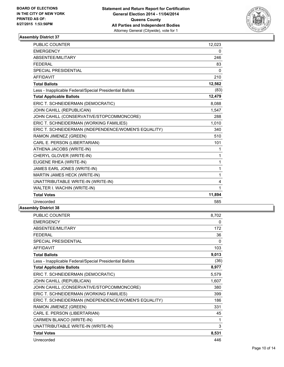

| PUBLIC COUNTER                                           | 12,023   |
|----------------------------------------------------------|----------|
| <b>EMERGENCY</b>                                         | 0        |
| <b>ABSENTEE/MILITARY</b>                                 | 246      |
| <b>FEDERAL</b>                                           | 83       |
| <b>SPECIAL PRESIDENTIAL</b>                              | $\Omega$ |
| <b>AFFIDAVIT</b>                                         | 210      |
| <b>Total Ballots</b>                                     | 12,562   |
| Less - Inapplicable Federal/Special Presidential Ballots | (83)     |
| <b>Total Applicable Ballots</b>                          | 12,479   |
| ERIC T. SCHNEIDERMAN (DEMOCRATIC)                        | 8,088    |
| JOHN CAHILL (REPUBLICAN)                                 | 1,547    |
| JOHN CAHILL (CONSERVATIVE/STOPCOMMONCORE)                | 288      |
| ERIC T. SCHNEIDERMAN (WORKING FAMILIES)                  | 1,010    |
| ERIC T. SCHNEIDERMAN (INDEPENDENCE/WOMEN'S EQUALITY)     | 340      |
| RAMON JIMENEZ (GREEN)                                    | 510      |
| CARL E. PERSON (LIBERTARIAN)                             | 101      |
| ATHENA JACOBS (WRITE-IN)                                 | 1        |
| CHERYL GLOVER (WRITE-IN)                                 | 1        |
| EUGENE RHEA (WRITE-IN)                                   | 1        |
| JAMES EARL JONES (WRITE-IN)                              | 1        |
| MARTIN JAMES HECK (WRITE-IN)                             | 1        |
| UNATTRIBUTABLE WRITE-IN (WRITE-IN)                       | 4        |
| WALTER I. WACHIN (WRITE-IN)                              | 1        |
| <b>Total Votes</b>                                       | 11,894   |
| Unrecorded                                               | 585      |
|                                                          |          |

| <b>PUBLIC COUNTER</b>                                    | 8,702 |
|----------------------------------------------------------|-------|
| <b>EMERGENCY</b>                                         | 0     |
| ABSENTEE/MILITARY                                        | 172   |
| <b>FFDFRAL</b>                                           | 36    |
| <b>SPECIAL PRESIDENTIAL</b>                              | 0     |
| <b>AFFIDAVIT</b>                                         | 103   |
| <b>Total Ballots</b>                                     | 9,013 |
| Less - Inapplicable Federal/Special Presidential Ballots | (36)  |
| <b>Total Applicable Ballots</b>                          | 8,977 |
| ERIC T. SCHNEIDERMAN (DEMOCRATIC)                        | 5,579 |
| JOHN CAHILL (REPUBLICAN)                                 | 1,607 |
| JOHN CAHILL (CONSERVATIVE/STOPCOMMONCORE)                | 380   |
| ERIC T. SCHNEIDERMAN (WORKING FAMILIES)                  | 399   |
| ERIC T. SCHNEIDERMAN (INDEPENDENCE/WOMEN'S EQUALITY)     | 186   |
| RAMON JIMENEZ (GREEN)                                    | 331   |
| CARL E. PERSON (LIBERTARIAN)                             | 45    |
| CARMEN BLANCO (WRITE-IN)                                 | 1     |
| UNATTRIBUTABLE WRITE-IN (WRITE-IN)                       | 3     |
| <b>Total Votes</b>                                       | 8,531 |
| Unrecorded                                               | 446   |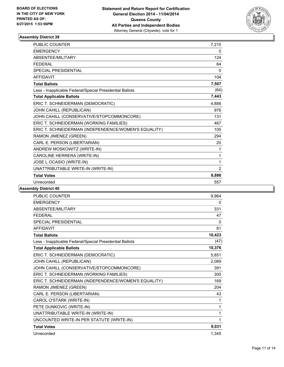

| <b>PUBLIC COUNTER</b>                                    | 7,215        |
|----------------------------------------------------------|--------------|
| <b>EMERGENCY</b>                                         | 0            |
| ABSENTEE/MILITARY                                        | 124          |
| <b>FEDERAL</b>                                           | 64           |
| SPECIAL PRESIDENTIAL                                     | $\mathbf{0}$ |
| <b>AFFIDAVIT</b>                                         | 104          |
| <b>Total Ballots</b>                                     | 7,507        |
| Less - Inapplicable Federal/Special Presidential Ballots | (64)         |
| <b>Total Applicable Ballots</b>                          | 7,443        |
| ERIC T. SCHNEIDERMAN (DEMOCRATIC)                        | 4,888        |
| JOHN CAHILL (REPUBLICAN)                                 | 976          |
| JOHN CAHILL (CONSERVATIVE/STOPCOMMONCORE)                | 131          |
| ERIC T. SCHNEIDERMAN (WORKING FAMILIES)                  | 467          |
| ERIC T. SCHNEIDERMAN (INDEPENDENCE/WOMEN'S EQUALITY)     | 105          |
| RAMON JIMENEZ (GREEN)                                    | 294          |
| CARL E. PERSON (LIBERTARIAN)                             | 20           |
| ANDREW MOSKOWITZ (WRITE-IN)                              | 1            |
| CAROLINE HERRERA (WRITE-IN)                              | 1            |
| JOSE L OCASIO (WRITE-IN)                                 | 1            |
| UNATTRIBUTABLE WRITE-IN (WRITE-IN)                       | 2            |
| <b>Total Votes</b>                                       | 6,886        |
| Unrecorded                                               | 557          |

| PUBLIC COUNTER                                           | 9,964        |
|----------------------------------------------------------|--------------|
| <b>EMERGENCY</b>                                         | 0            |
| ABSENTEE/MILITARY                                        | 331          |
| <b>FFDFRAL</b>                                           | 47           |
| <b>SPECIAL PRESIDENTIAL</b>                              | $\mathbf{0}$ |
| <b>AFFIDAVIT</b>                                         | 81           |
| <b>Total Ballots</b>                                     | 10,423       |
| Less - Inapplicable Federal/Special Presidential Ballots | (47)         |
| <b>Total Applicable Ballots</b>                          | 10,376       |
| ERIC T. SCHNEIDERMAN (DEMOCRATIC)                        | 5,851        |
| JOHN CAHILL (REPUBLICAN)                                 | 2,069        |
| JOHN CAHILL (CONSERVATIVE/STOPCOMMONCORE)                | 391          |
| ERIC T. SCHNEIDERMAN (WORKING FAMILIES)                  | 300          |
| ERIC T. SCHNEIDERMAN (INDEPENDENCE/WOMEN'S EQUALITY)     | 169          |
| RAMON JIMENEZ (GREEN)                                    | 204          |
| CARL E. PERSON (LIBERTARIAN)                             | 43           |
| CAROL O'STARK (WRITE-IN)                                 | 1            |
| PETE DUNKOVIC (WRITE-IN)                                 | 1            |
| UNATTRIBUTABLE WRITE-IN (WRITE-IN)                       | 1            |
| UNCOUNTED WRITE-IN PER STATUTE (WRITE-IN)                | 1            |
| <b>Total Votes</b>                                       | 9,031        |
| Unrecorded                                               | 1,345        |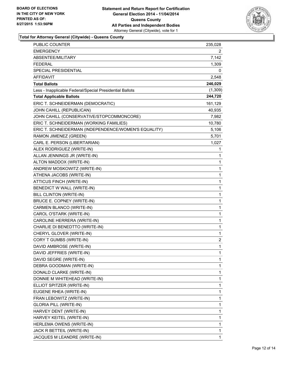

**Total for Attorney General (Citywide) - Queens County**

| PUBLIC COUNTER                                           | 235,028  |
|----------------------------------------------------------|----------|
| <b>EMERGENCY</b>                                         | 2        |
| ABSENTEE/MILITARY                                        | 7,142    |
| <b>FEDERAL</b>                                           | 1,309    |
| SPECIAL PRESIDENTIAL                                     | 0        |
| AFFIDAVIT                                                | 2,548    |
| <b>Total Ballots</b>                                     | 246,029  |
| Less - Inapplicable Federal/Special Presidential Ballots | (1, 309) |
| <b>Total Applicable Ballots</b>                          | 244,720  |
| ERIC T. SCHNEIDERMAN (DEMOCRATIC)                        | 161,129  |
| JOHN CAHILL (REPUBLICAN)                                 | 40,935   |
| JOHN CAHILL (CONSERVATIVE/STOPCOMMONCORE)                | 7,982    |
| ERIC T. SCHNEIDERMAN (WORKING FAMILIES)                  | 10,780   |
| ERIC T. SCHNEIDERMAN (INDEPENDENCE/WOMEN'S EQUALITY)     | 5,106    |
| RAMON JIMENEZ (GREEN)                                    | 5,701    |
| CARL E. PERSON (LIBERTARIAN)                             | 1,027    |
| ALEX RODRIGUEZ (WRITE-IN)                                | 1        |
| ALLAN JENNINGS JR (WRITE-IN)                             | 1        |
| ALTON MADDOX (WRITE-IN)                                  | 1        |
| ANDREW MOSKOWITZ (WRITE-IN)                              | 1        |
| ATHENA JACOBS (WRITE-IN)                                 | 1        |
| ATTICUS FINCH (WRITE-IN)                                 | 1        |
| BENEDICT W WALL (WRITE-IN)                               | 1        |
| BILL CLINTON (WRITE-IN)                                  | 1        |
| BRUCE E. COPNEY (WRITE-IN)                               | 1        |
| CARMEN BLANCO (WRITE-IN)                                 | 1        |
| CAROL O'STARK (WRITE-IN)                                 | 1        |
| CAROLINE HERRERA (WRITE-IN)                              | 1        |
| CHARLIE DI BENEDTTO (WRITE-IN)                           | 1        |
| CHERYL GLOVER (WRITE-IN)                                 | 1        |
| CORY T GUMBS (WRITE-IN)                                  | 2        |
| DAVID AMBROSE (WRITE-IN)                                 | 1        |
| DAVID JEFFRIES (WRITE-IN)                                | 1        |
| DAVID SEGRE (WRITE-IN)                                   | 1        |
| DEBRA GOODMAN (WRITE-IN)                                 | 1        |
| DONALD CLARKE (WRITE-IN)                                 | 1        |
| DONNIE M WHITEHEAD (WRITE-IN)                            | 1        |
| ELLIOT SPITZER (WRITE-IN)                                | 1        |
| EUGENE RHEA (WRITE-IN)                                   | 1        |
| FRAN LEBOWITZ (WRITE-IN)                                 | 1        |
| <b>GLORIA PILL (WRITE-IN)</b>                            | 1        |
| HARVEY DENT (WRITE-IN)                                   | 1        |
| HARVEY KEITEL (WRITE-IN)                                 | 1        |
| HERLEMA OWENS (WRITE-IN)                                 | 1        |
| JACK R BETTEIL (WRITE-IN)                                | 1        |
| JACQUES M LEANDRE (WRITE-IN)                             | 1        |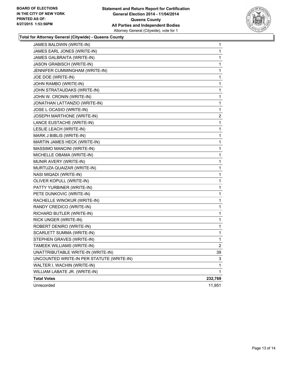

**Total for Attorney General (Citywide) - Queens County**

| JAMES BALDWIN (WRITE-IN)                  | 1              |
|-------------------------------------------|----------------|
| JAMES EARL JONES (WRITE-IN)               | 1              |
| JAMES GALBRAITA (WRITE-IN)                | 1              |
| <b>JASON GRABISCH (WRITE-IN)</b>          | 1              |
| JENNIFER CUMMINGHAM (WRITE-IN)            | 1              |
| JOE DOE (WRITE-IN)                        | 1              |
| JOHN RAMBO (WRITE-IN)                     | 1              |
| JOHN STRATAUDAKS (WRITE-IN)               | 1              |
| JOHN W. CRONIN (WRITE-IN)                 | 1              |
| JONATHAN LATTANZIO (WRITE-IN)             | 1              |
| JOSE L OCASIO (WRITE-IN)                  | 1              |
| JOSEPH MARTHONE (WRITE-IN)                | $\overline{c}$ |
| LANCE EUSTACHE (WRITE-IN)                 | 1              |
| LESLIE LEACH (WRITE-IN)                   | 1              |
| MARK J BIBLIS (WRITE-IN)                  | 1              |
| MARTIN JAMES HECK (WRITE-IN)              | 1              |
| MASSIMO MANCINI (WRITE-IN)                | 1              |
| MICHELLE OBAMA (WRITE-IN)                 | 1              |
| MUNIR AVERY (WRITE-IN)                    | 1              |
| MURTUZA QUAIZAR (WRITE-IN)                | 1              |
| NASI MIQADI (WRITE-IN)                    | 1              |
| OLIVER KOPULL (WRITE-IN)                  | 1              |
| PATTY YURBINER (WRITE-IN)                 | 1              |
| PETE DUNKOVIC (WRITE-IN)                  | 1              |
| RACHELLE WINOKUR (WRITE-IN)               | 1              |
| RANDY CREDICO (WRITE-IN)                  | 1              |
| RICHARD BUTLER (WRITE-IN)                 | 1              |
| RICK UNGER (WRITE-IN)                     | 1              |
| ROBERT DENIRO (WRITE-IN)                  | 1              |
| SCARLETT SUMMA (WRITE-IN)                 | 1              |
| STEPHEN GRAVES (WRITE-IN)                 | 1              |
| TAMEEK WILLIAMS (WRITE-IN)                | 2              |
| UNATTRIBUTABLE WRITE-IN (WRITE-IN)        | 39             |
| UNCOUNTED WRITE-IN PER STATUTE (WRITE-IN) | 3              |
| WALTER I. WACHIN (WRITE-IN)               | 1              |
| WILLIAM LABATE JR. (WRITE-IN)             | $\mathbf{1}$   |
| <b>Total Votes</b>                        | 232,769        |
| Unrecorded                                | 11,951         |